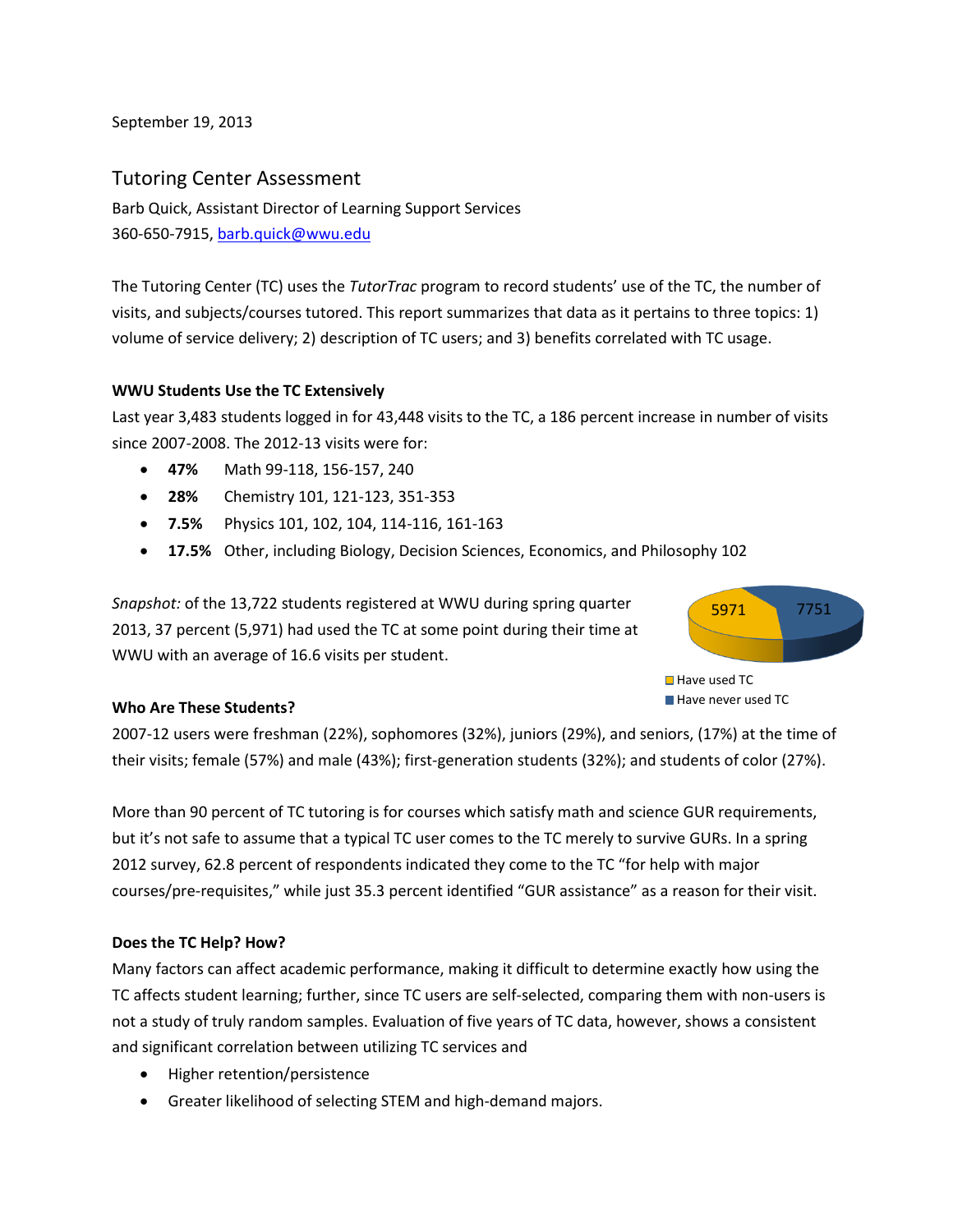September 19, 2013

# Tutoring Center Assessment

360-650-7915, barb.quick@wwu.edu Barb Quick, Assistant Director of Learning Support Services

360-650-7915, <u>barb.quick@wwu.edu</u><br>The Tutoring Center (TC) uses the *TutorTrac* program to record students' use of the TC, the number of visits, and subjects/courses tutored. This report summarizes that data as it pertains to three topics: 1) volume of service delivery; 2) description of TC users; and 3) benefits correlated with TC usage.

### **WWU Students Use the TC Extensively**

 Last year 3,483 students logged in for 43,448 visits to the TC, a 186 percent increase in number of visits since 2007-2008. The 2012-13 visits were for:

- **47%** Math 99-118, 156-157, 240
- **28%** Chemistry 101, 121-123, 351-353
- **7.5%** Physics 101, 102, 104, 114-116, 161-163
- **17.5%** Other, including Biology, Decision Sciences, Economics, and Philosophy 102

 WWU with an average of 16.6 visits per student. *Snapshot:* of the 13,722 students registered at WWU during spring quarter 2013, 37 percent (5,971) had used the TC at some point during their time at





## **Who Are These Students?**

 2007-12 users were freshman (22%), sophomores (32%), juniors (29%), and seniors, (17%) at the time of their visits; female (57%) and male (43%); first-generation students (32%); and students of color (27%).

 More than 90 percent of TC tutoring is for courses which satisfy math and science GUR requirements, but it's not safe to assume that a typical TC user comes to the TC merely to survive GURs. In a spring 2012 survey, 62.8 percent of respondents indicated they come to the TC "for help with major courses/pre-requisites," while just 35.3 percent identified "GUR assistance" as a reason for their visit.

#### **Does the TC Help? How?**

 Many factors can affect academic performance, making it difficult to determine exactly how using the not a study of truly random samples. Evaluation of five years of TC data, however, shows a consistent TC affects student learning; further, since TC users are self-selected, comparing them with non-users is and significant correlation between utilizing TC services and

- Higher retention/persistence
- Greater likelihood of selecting STEM and high-demand majors.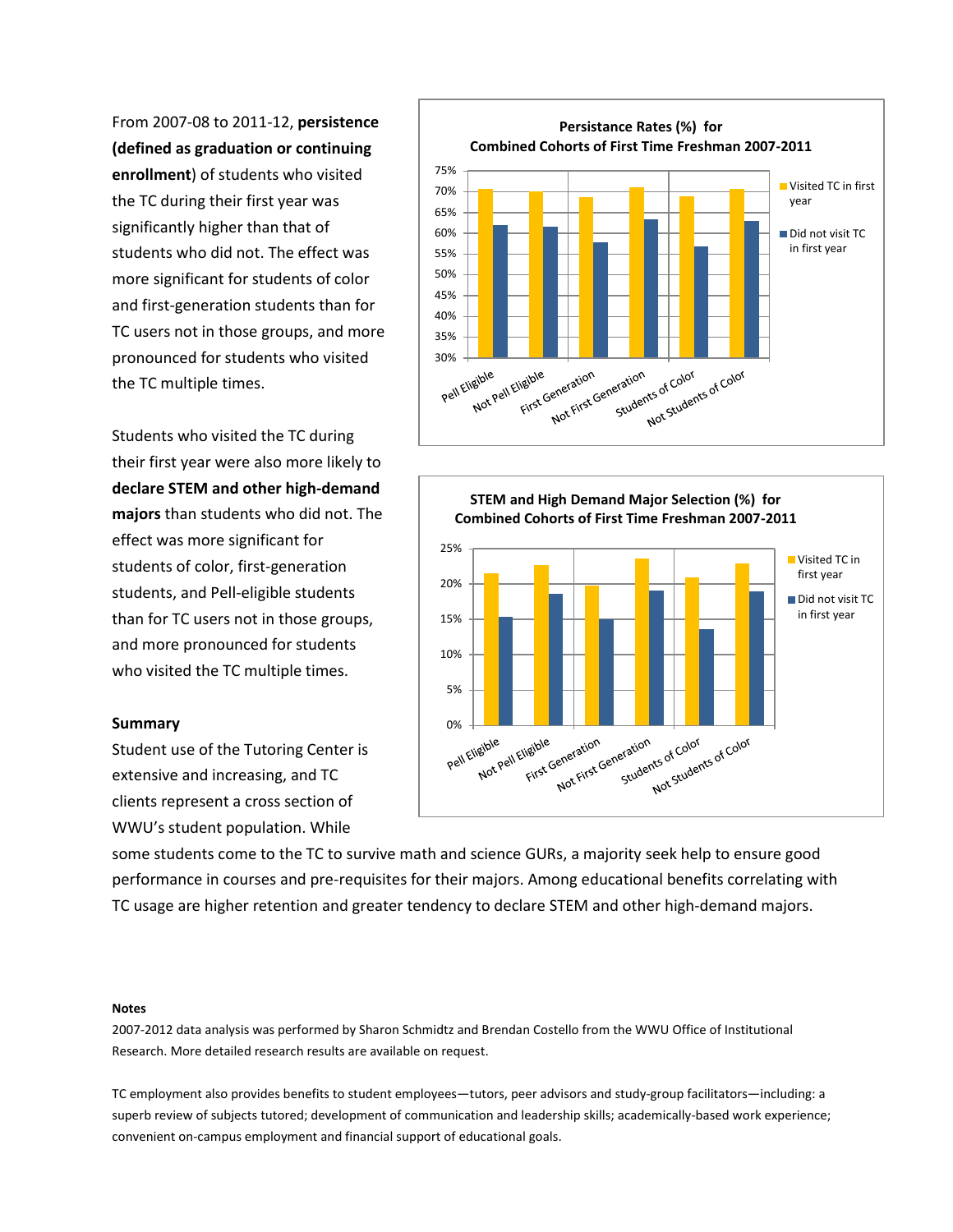From 2007-08 to 2011-12, **persistence**  significantly higher than that of TC users not in those groups, and more **(defined as graduation or continuing enrollment**) of students who visited the TC during their first year was students who did not. The effect was more significant for students of color and first-generation students than for pronounced for students who visited the TC multiple times.

 Students who visited the TC during **majors** than students who did not. The their first year were also more likely to **declare STEM and other high-demand**  effect was more significant for students of color, first-generation students, and Pell-eligible students than for TC users not in those groups, and more pronounced for students who visited the TC multiple times.

#### **Summary**

 clients represent a cross section of Student use of the Tutoring Center is extensive and increasing, and TC WWU's student population. While





 some students come to the TC to survive math and science GURs, a majority seek help to ensure good performance in courses and pre-requisites for their majors. Among educational benefits correlating with TC usage are higher retention and greater tendency to declare STEM and other high-demand majors.

#### **Notes**

 2007-2012 data analysis was performed by Sharon Schmidtz and Brendan Costello from the WWU Office of Institutional Research. More detailed research results are available on request.

 TC employment also provides benefits to student employees—tutors, peer advisors and study-group facilitators—including: a superb review of subjects tutored; development of communication and leadership skills; academically-based work experience; convenient on-campus employment and financial support of educational goals.